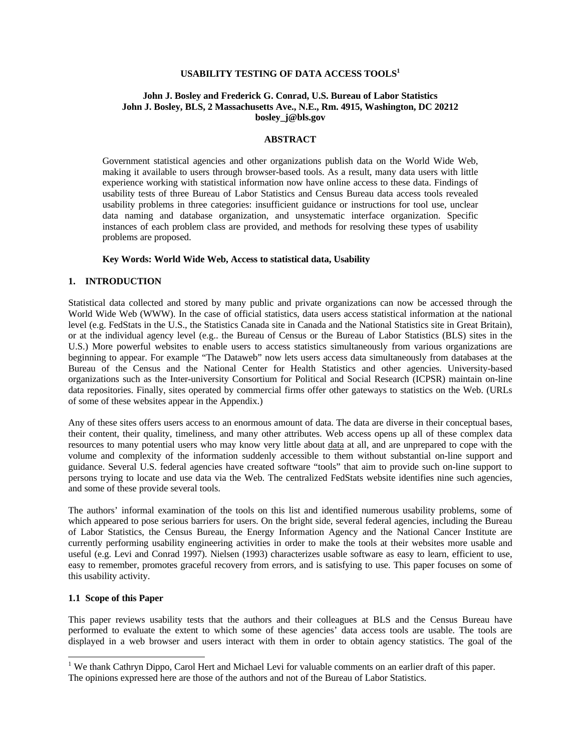## **USABILITY TESTING OF DATA ACCESS TOOLS<sup>1</sup>**

#### **John J. Bosley and Frederick G. Conrad, U.S. Bureau of Labor Statistics John J. Bosley, BLS, 2 Massachusetts Ave., N.E., Rm. 4915, Washington, DC 20212 bosley\_j@bls.gov**

### **ABSTRACT**

Government statistical agencies and other organizations publish data on the World Wide Web, making it available to users through browser-based tools. As a result, many data users with little experience working with statistical information now have online access to these data. Findings of usability tests of three Bureau of Labor Statistics and Census Bureau data access tools revealed usability problems in three categories: insufficient guidance or instructions for tool use, unclear data naming and database organization, and unsystematic interface organization. Specific instances of each problem class are provided, and methods for resolving these types of usability problems are proposed.

#### **Key Words: World Wide Web, Access to statistical data, Usability**

#### **1. INTRODUCTION**

Statistical data collected and stored by many public and private organizations can now be accessed through the World Wide Web (WWW). In the case of official statistics, data users access statistical information at the national level (e.g. FedStats in the U.S., the Statistics Canada site in Canada and the National Statistics site in Great Britain), or at the individual agency level (e.g.. the Bureau of Census or the Bureau of Labor Statistics (BLS) sites in the U.S.) More powerful websites to enable users to access statistics simultaneously from various organizations are beginning to appear. For example "The Dataweb" now lets users access data simultaneously from databases at the Bureau of the Census and the National Center for Health Statistics and other agencies. University-based organizations such as the Inter-university Consortium for Political and Social Research (ICPSR) maintain on-line data repositories. Finally, sites operated by commercial firms offer other gateways to statistics on the Web. (URLs of some of these websites appear in the Appendix.)

Any of these sites offers users access to an enormous amount of data. The data are diverse in their conceptual bases, their content, their quality, timeliness, and many other attributes. Web access opens up all of these complex data resources to many potential users who may know very little about data at all, and are unprepared to cope with the volume and complexity of the information suddenly accessible to them without substantial on-line support and guidance. Several U.S. federal agencies have created software "tools" that aim to provide such on-line support to persons trying to locate and use data via the Web. The centralized FedStats website identifies nine such agencies, and some of these provide several tools.

The authors' informal examination of the tools on this list and identified numerous usability problems, some of which appeared to pose serious barriers for users. On the bright side, several federal agencies, including the Bureau of Labor Statistics, the Census Bureau, the Energy Information Agency and the National Cancer Institute are currently performing usability engineering activities in order to make the tools at their websites more usable and useful (e.g. Levi and Conrad 1997). Nielsen (1993) characterizes usable software as easy to learn, efficient to use, easy to remember, promotes graceful recovery from errors, and is satisfying to use. This paper focuses on some of this usability activity.

# **1.1 Scope of this Paper**

-

This paper reviews usability tests that the authors and their colleagues at BLS and the Census Bureau have performed to evaluate the extent to which some of these agencies' data access tools are usable. The tools are displayed in a web browser and users interact with them in order to obtain agency statistics. The goal of the

<sup>&</sup>lt;sup>1</sup> We thank Cathryn Dippo, Carol Hert and Michael Levi for valuable comments on an earlier draft of this paper. The opinions expressed here are those of the authors and not of the Bureau of Labor Statistics.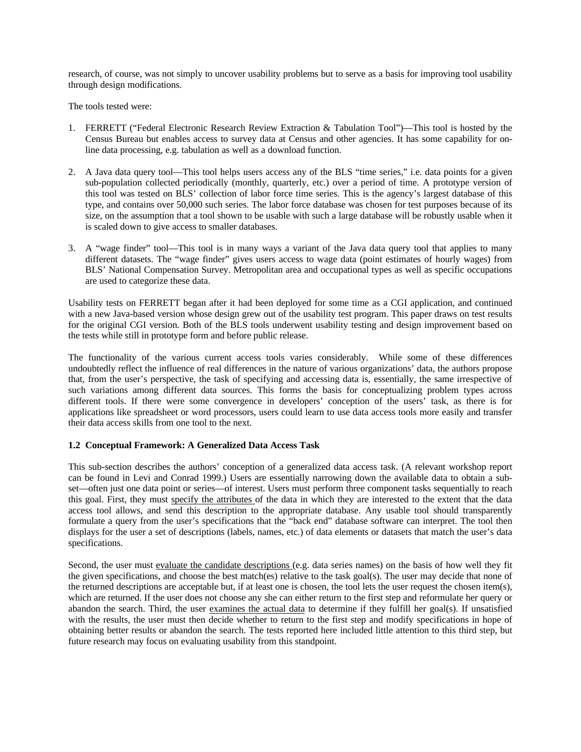research, of course, was not simply to uncover usability problems but to serve as a basis for improving tool usability through design modifications.

The tools tested were:

- 1. FERRETT ("Federal Electronic Research Review Extraction & Tabulation Tool")—This tool is hosted by the Census Bureau but enables access to survey data at Census and other agencies. It has some capability for online data processing, e.g. tabulation as well as a download function.
- 2. A Java data query tool—This tool helps users access any of the BLS "time series," i.e. data points for a given sub-population collected periodically (monthly, quarterly, etc.) over a period of time. A prototype version of this tool was tested on BLS' collection of labor force time series. This is the agency's largest database of this type, and contains over 50,000 such series. The labor force database was chosen for test purposes because of its size, on the assumption that a tool shown to be usable with such a large database will be robustly usable when it is scaled down to give access to smaller databases.
- 3. A "wage finder" tool—This tool is in many ways a variant of the Java data query tool that applies to many different datasets. The "wage finder" gives users access to wage data (point estimates of hourly wages) from BLS' National Compensation Survey. Metropolitan area and occupational types as well as specific occupations are used to categorize these data.

Usability tests on FERRETT began after it had been deployed for some time as a CGI application, and continued with a new Java-based version whose design grew out of the usability test program. This paper draws on test results for the original CGI version. Both of the BLS tools underwent usability testing and design improvement based on the tests while still in prototype form and before public release.

The functionality of the various current access tools varies considerably. While some of these differences undoubtedly reflect the influence of real differences in the nature of various organizations' data, the authors propose that, from the user's perspective, the task of specifying and accessing data is, essentially, the same irrespective of such variations among different data sources. This forms the basis for conceptualizing problem types across different tools. If there were some convergence in developers' conception of the users' task, as there is for applications like spreadsheet or word processors, users could learn to use data access tools more easily and transfer their data access skills from one tool to the next.

## **1.2 Conceptual Framework: A Generalized Data Access Task**

This sub-section describes the authors' conception of a generalized data access task. (A relevant workshop report can be found in Levi and Conrad 1999.) Users are essentially narrowing down the available data to obtain a subset—often just one data point or series—of interest. Users must perform three component tasks sequentially to reach this goal. First, they must specify the attributes of the data in which they are interested to the extent that the data access tool allows, and send this description to the appropriate database. Any usable tool should transparently formulate a query from the user's specifications that the "back end" database software can interpret. The tool then displays for the user a set of descriptions (labels, names, etc.) of data elements or datasets that match the user's data specifications.

Second, the user must evaluate the candidate descriptions (e.g. data series names) on the basis of how well they fit the given specifications, and choose the best match(es) relative to the task goal(s). The user may decide that none of the returned descriptions are acceptable but, if at least one is chosen, the tool lets the user request the chosen item(s), which are returned. If the user does not choose any she can either return to the first step and reformulate her query or abandon the search. Third, the user examines the actual data to determine if they fulfill her goal(s). If unsatisfied with the results, the user must then decide whether to return to the first step and modify specifications in hope of obtaining better results or abandon the search. The tests reported here included little attention to this third step, but future research may focus on evaluating usability from this standpoint.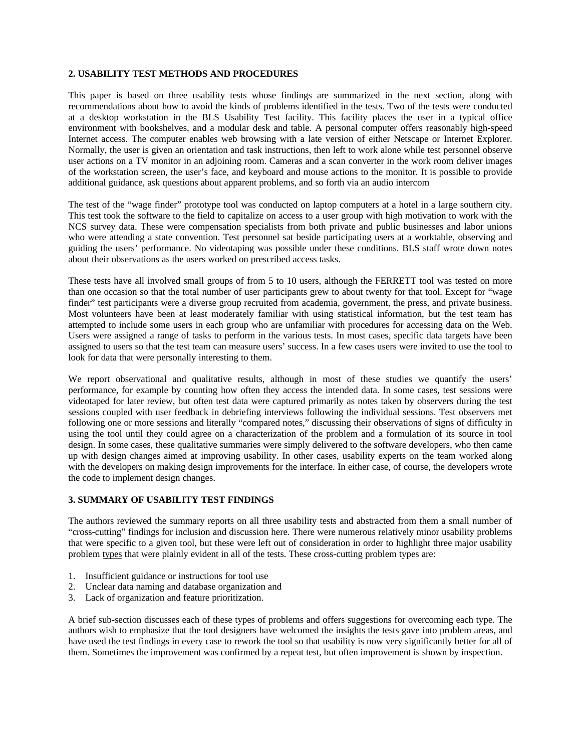### **2. USABILITY TEST METHODS AND PROCEDURES**

This paper is based on three usability tests whose findings are summarized in the next section, along with recommendations about how to avoid the kinds of problems identified in the tests. Two of the tests were conducted at a desktop workstation in the BLS Usability Test facility. This facility places the user in a typical office environment with bookshelves, and a modular desk and table. A personal computer offers reasonably high-speed Internet access. The computer enables web browsing with a late version of either Netscape or Internet Explorer. Normally, the user is given an orientation and task instructions, then left to work alone while test personnel observe user actions on a TV monitor in an adjoining room. Cameras and a scan converter in the work room deliver images of the workstation screen, the user's face, and keyboard and mouse actions to the monitor. It is possible to provide additional guidance, ask questions about apparent problems, and so forth via an audio intercom

The test of the "wage finder" prototype tool was conducted on laptop computers at a hotel in a large southern city. This test took the software to the field to capitalize on access to a user group with high motivation to work with the NCS survey data. These were compensation specialists from both private and public businesses and labor unions who were attending a state convention. Test personnel sat beside participating users at a worktable, observing and guiding the users' performance. No videotaping was possible under these conditions. BLS staff wrote down notes about their observations as the users worked on prescribed access tasks.

These tests have all involved small groups of from 5 to 10 users, although the FERRETT tool was tested on more than one occasion so that the total number of user participants grew to about twenty for that tool. Except for "wage finder" test participants were a diverse group recruited from academia, government, the press, and private business. Most volunteers have been at least moderately familiar with using statistical information, but the test team has attempted to include some users in each group who are unfamiliar with procedures for accessing data on the Web. Users were assigned a range of tasks to perform in the various tests. In most cases, specific data targets have been assigned to users so that the test team can measure users' success. In a few cases users were invited to use the tool to look for data that were personally interesting to them.

We report observational and qualitative results, although in most of these studies we quantify the users' performance, for example by counting how often they access the intended data. In some cases, test sessions were videotaped for later review, but often test data were captured primarily as notes taken by observers during the test sessions coupled with user feedback in debriefing interviews following the individual sessions. Test observers met following one or more sessions and literally "compared notes," discussing their observations of signs of difficulty in using the tool until they could agree on a characterization of the problem and a formulation of its source in tool design. In some cases, these qualitative summaries were simply delivered to the software developers, who then came up with design changes aimed at improving usability. In other cases, usability experts on the team worked along with the developers on making design improvements for the interface. In either case, of course, the developers wrote the code to implement design changes.

### **3. SUMMARY OF USABILITY TEST FINDINGS**

The authors reviewed the summary reports on all three usability tests and abstracted from them a small number of "cross-cutting" findings for inclusion and discussion here. There were numerous relatively minor usability problems that were specific to a given tool, but these were left out of consideration in order to highlight three major usability problem types that were plainly evident in all of the tests. These cross-cutting problem types are:

- 1. Insufficient guidance or instructions for tool use
- 2. Unclear data naming and database organization and
- 3. Lack of organization and feature prioritization.

A brief sub-section discusses each of these types of problems and offers suggestions for overcoming each type. The authors wish to emphasize that the tool designers have welcomed the insights the tests gave into problem areas, and have used the test findings in every case to rework the tool so that usability is now very significantly better for all of them. Sometimes the improvement was confirmed by a repeat test, but often improvement is shown by inspection.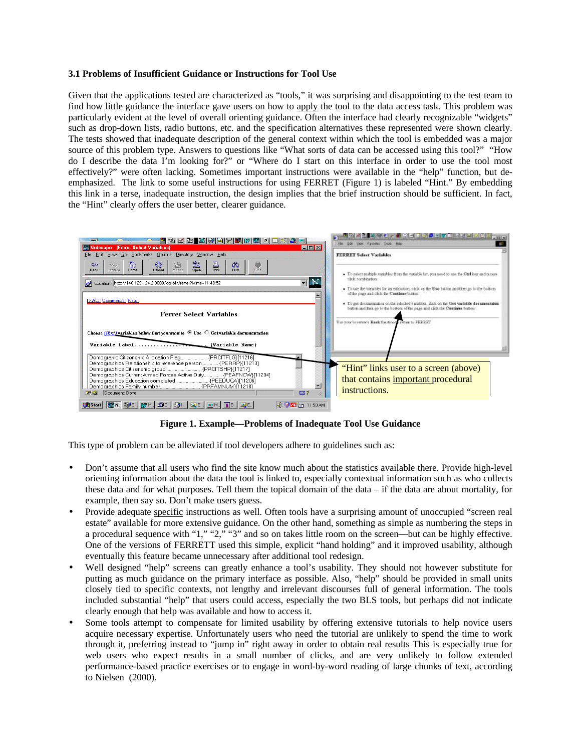### **3.1 Problems of Insufficient Guidance or Instructions for Tool Use**

Given that the applications tested are characterized as "tools," it was surprising and disappointing to the test team to find how little guidance the interface gave users on how to apply the tool to the data access task. This problem was particularly evident at the level of overall orienting guidance. Often the interface had clearly recognizable "widgets" such as drop-down lists, radio buttons, etc. and the specification alternatives these represented were shown clearly. The tests showed that inadequate description of the general context within which the tool is embedded was a major source of this problem type. Answers to questions like "What sorts of data can be accessed using this tool?" "How do I describe the data I'm looking for?" or "Where do I start on this interface in order to use the tool most effectively?" were often lacking. Sometimes important instructions were available in the "help" function, but deemphasized. The link to some useful instructions for using FERRET (Figure 1) is labeled "Hint." By embedding this link in a terse, inadequate instruction, the design implies that the brief instruction should be sufficient. In fact, the "Hint" clearly offers the user better, clearer guidance.



**Figure 1. Example—Problems of Inadequate Tool Use Guidance**

This type of problem can be alleviated if tool developers adhere to guidelines such as:

- Don't assume that all users who find the site know much about the statistics available there. Provide high-level orienting information about the data the tool is linked to, especially contextual information such as who collects these data and for what purposes. Tell them the topical domain of the data – if the data are about mortality, for example, then say so. Don't make users guess.
- Provide adequate specific instructions as well. Often tools have a surprising amount of unoccupied "screen real estate" available for more extensive guidance. On the other hand, something as simple as numbering the steps in a procedural sequence with "1," "2," "3" and so on takes little room on the screen—but can be highly effective. One of the versions of FERRETT used this simple, explicit "hand holding" and it improved usability, although eventually this feature became unnecessary after additional tool redesign.
- Well designed "help" screens can greatly enhance a tool's usability. They should not however substitute for putting as much guidance on the primary interface as possible. Also, "help" should be provided in small units closely tied to specific contexts, not lengthy and irrelevant discourses full of general information. The tools included substantial "help" that users could access, especially the two BLS tools, but perhaps did not indicate clearly enough that help was available and how to access it.
- Some tools attempt to compensate for limited usability by offering extensive tutorials to help novice users acquire necessary expertise. Unfortunately users who need the tutorial are unlikely to spend the time to work through it, preferring instead to "jump in" right away in order to obtain real results This is especially true for web users who expect results in a small number of clicks, and are very unlikely to follow extended performance-based practice exercises or to engage in word-by-word reading of large chunks of text, according to Nielsen (2000).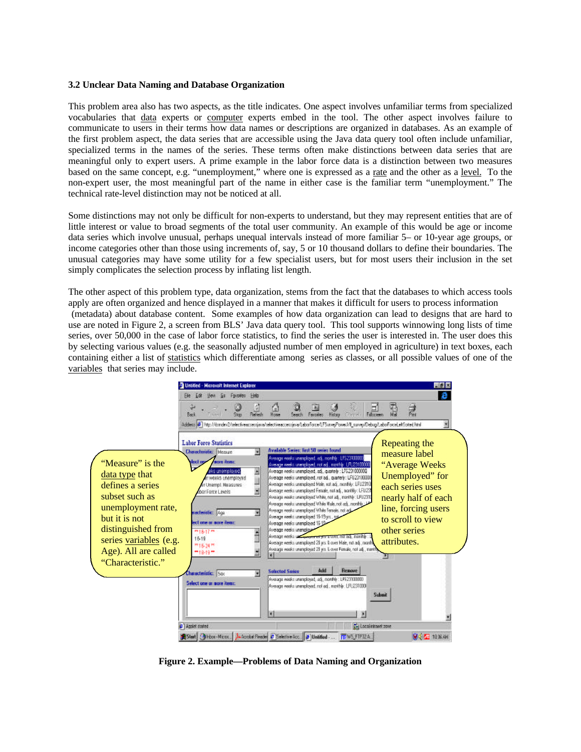#### **3.2 Unclear Data Naming and Database Organization**

This problem area also has two aspects, as the title indicates. One aspect involves unfamiliar terms from specialized vocabularies that data experts or computer experts embed in the tool. The other aspect involves failure to communicate to users in their terms how data names or descriptions are organized in databases. As an example of the first problem aspect, the data series that are accessible using the Java data query tool often include unfamiliar, specialized terms in the names of the series. These terms often make distinctions between data series that are meaningful only to expert users. A prime example in the labor force data is a distinction between two measures based on the same concept, e.g. "unemployment," where one is expressed as a rate and the other as a level. To the non-expert user, the most meaningful part of the name in either case is the familiar term "unemployment." The technical rate-level distinction may not be noticed at all.

Some distinctions may not only be difficult for non-experts to understand, but they may represent entities that are of little interest or value to broad segments of the total user community. An example of this would be age or income data series which involve unusual, perhaps unequal intervals instead of more familiar 5– or 10-year age groups, or income categories other than those using increments of, say, 5 or 10 thousand dollars to define their boundaries. The unusual categories may have some utility for a few specialist users, but for most users their inclusion in the set simply complicates the selection process by inflating list length.

The other aspect of this problem type, data organization, stems from the fact that the databases to which access tools apply are often organized and hence displayed in a manner that makes it difficult for users to process information (metadata) about database content. Some examples of how data organization can lead to designs that are hard to use are noted in Figure 2, a screen from BLS' Java data query tool. This tool supports winnowing long lists of time series, over 50,000 in the case of labor force statistics, to find the series the user is interested in. The user does this by selecting various values (e.g. the seasonally adjusted number of men employed in agriculture) in text boxes, each containing either a list of statistics which differentiate among series as classes, or all possible values of one of the variables that series may include.



**Figure 2. Example—Problems of Data Naming and Organization**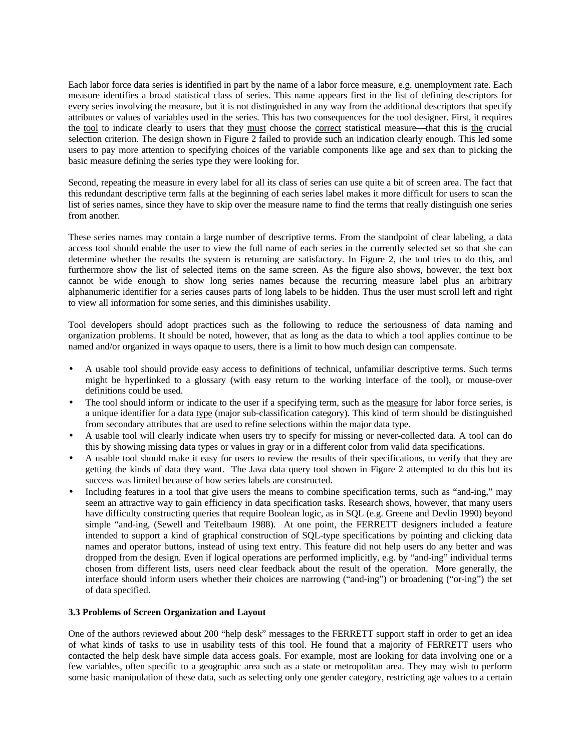Each labor force data series is identified in part by the name of a labor force measure, e.g. unemployment rate. Each measure identifies a broad statistical class of series. This name appears first in the list of defining descriptors for every series involving the measure, but it is not distinguished in any way from the additional descriptors that specify attributes or values of variables used in the series. This has two consequences for the tool designer. First, it requires the tool to indicate clearly to users that they must choose the correct statistical measure—that this is the crucial selection criterion. The design shown in Figure 2 failed to provide such an indication clearly enough. This led some users to pay more attention to specifying choices of the variable components like age and sex than to picking the basic measure defining the series type they were looking for.

Second, repeating the measure in every label for all its class of series can use quite a bit of screen area. The fact that this redundant descriptive term falls at the beginning of each series label makes it more difficult for users to scan the list of series names, since they have to skip over the measure name to find the terms that really distinguish one series from another.

These series names may contain a large number of descriptive terms. From the standpoint of clear labeling, a data access tool should enable the user to view the full name of each series in the currently selected set so that she can determine whether the results the system is returning are satisfactory. In Figure 2, the tool tries to do this, and furthermore show the list of selected items on the same screen. As the figure also shows, however, the text box cannot be wide enough to show long series names because the recurring measure label plus an arbitrary alphanumeric identifier for a series causes parts of long labels to be hidden. Thus the user must scroll left and right to view all information for some series, and this diminishes usability.

Tool developers should adopt practices such as the following to reduce the seriousness of data naming and organization problems. It should be noted, however, that as long as the data to which a tool applies continue to be named and/or organized in ways opaque to users, there is a limit to how much design can compensate.

- A usable tool should provide easy access to definitions of technical, unfamiliar descriptive terms. Such terms might be hyperlinked to a glossary (with easy return to the working interface of the tool), or mouse-over definitions could be used.
- The tool should inform or indicate to the user if a specifying term, such as the measure for labor force series, is a unique identifier for a data type (major sub-classification category). This kind of term should be distinguished from secondary attributes that are used to refine selections within the major data type.
- A usable tool will clearly indicate when users try to specify for missing or never-collected data. A tool can do this by showing missing data types or values in gray or in a different color from valid data specifications.
- A usable tool should make it easy for users to review the results of their specifications, to verify that they are getting the kinds of data they want. The Java data query tool shown in Figure 2 attempted to do this but its success was limited because of how series labels are constructed.
- Including features in a tool that give users the means to combine specification terms, such as "and-ing," may seem an attractive way to gain efficiency in data specification tasks. Research shows, however, that many users have difficulty constructing queries that require Boolean logic, as in SQL (e.g. Greene and Devlin 1990) beyond simple "and-ing, (Sewell and Teitelbaum 1988). At one point, the FERRETT designers included a feature intended to support a kind of graphical construction of SQL-type specifications by pointing and clicking data names and operator buttons, instead of using text entry. This feature did not help users do any better and was dropped from the design. Even if logical operations are performed implicitly, e.g. by "and-ing" individual terms chosen from different lists, users need clear feedback about the result of the operation. More generally, the interface should inform users whether their choices are narrowing ("and-ing") or broadening ("or-ing") the set of data specified.

#### **3.3 Problems of Screen Organization and Layout**

One of the authors reviewed about 200 "help desk" messages to the FERRETT support staff in order to get an idea of what kinds of tasks to use in usability tests of this tool. He found that a majority of FERRETT users who contacted the help desk have simple data access goals. For example, most are looking for data involving one or a few variables, often specific to a geographic area such as a state or metropolitan area. They may wish to perform some basic manipulation of these data, such as selecting only one gender category, restricting age values to a certain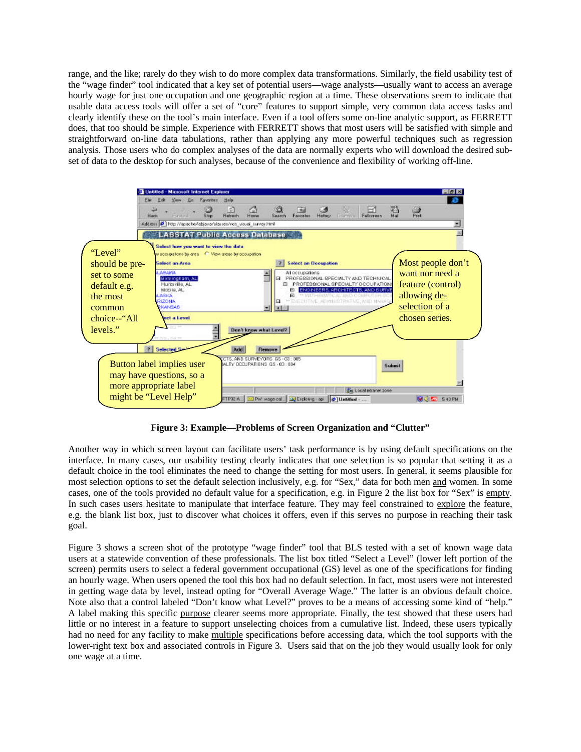range, and the like; rarely do they wish to do more complex data transformations. Similarly, the field usability test of the "wage finder" tool indicated that a key set of potential users—wage analysts—usually want to access an average hourly wage for just one occupation and one geographic region at a time. These observations seem to indicate that usable data access tools will offer a set of "core" features to support simple, very common data access tasks and clearly identify these on the tool's main interface. Even if a tool offers some on-line analytic support, as FERRETT does, that too should be simple. Experience with FERRETT shows that most users will be satisfied with simple and straightforward on-line data tabulations, rather than applying any more powerful techniques such as regression analysis. Those users who do complex analyses of the data are normally experts who will download the desired subset of data to the desktop for such analyses, because of the convenience and flexibility of working off-line.



**Figure 3: Example—Problems of Screen Organization and "Clutter"**

Another way in which screen layout can facilitate users' task performance is by using default specifications on the interface. In many cases, our usability testing clearly indicates that one selection is so popular that setting it as a default choice in the tool eliminates the need to change the setting for most users. In general, it seems plausible for most selection options to set the default selection inclusively, e.g. for "Sex," data for both men and women. In some cases, one of the tools provided no default value for a specification, e.g. in Figure 2 the list box for "Sex" is empty. In such cases users hesitate to manipulate that interface feature. They may feel constrained to explore the feature, e.g. the blank list box, just to discover what choices it offers, even if this serves no purpose in reaching their task goal.

Figure 3 shows a screen shot of the prototype "wage finder" tool that BLS tested with a set of known wage data users at a statewide convention of these professionals. The list box titled "Select a Level" (lower left portion of the screen) permits users to select a federal government occupational (GS) level as one of the specifications for finding an hourly wage. When users opened the tool this box had no default selection. In fact, most users were not interested in getting wage data by level, instead opting for "Overall Average Wage." The latter is an obvious default choice. Note also that a control labeled "Don't know what Level?" proves to be a means of accessing some kind of "help." A label making this specific purpose clearer seems more appropriate. Finally, the test showed that these users had little or no interest in a feature to support unselecting choices from a cumulative list. Indeed, these users typically had no need for any facility to make multiple specifications before accessing data, which the tool supports with the lower-right text box and associated controls in Figure 3. Users said that on the job they would usually look for only one wage at a time.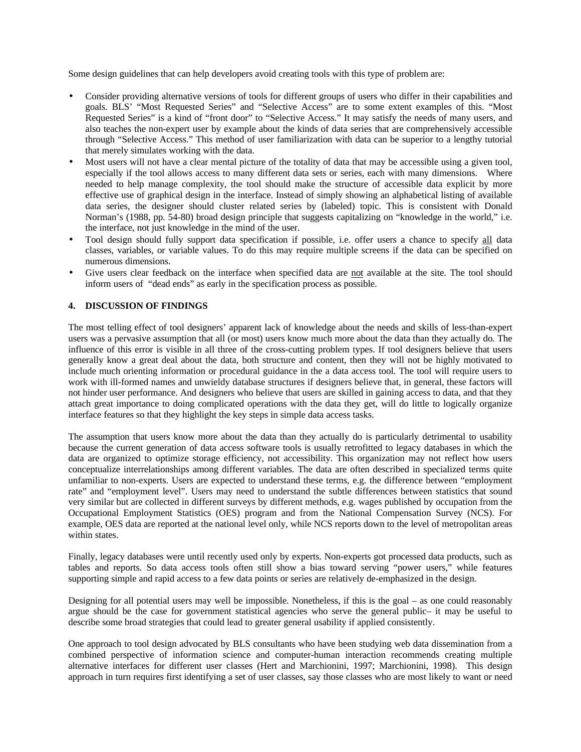Some design guidelines that can help developers avoid creating tools with this type of problem are:

- Consider providing alternative versions of tools for different groups of users who differ in their capabilities and goals. BLS' "Most Requested Series" and "Selective Access" are to some extent examples of this. "Most Requested Series" is a kind of "front door" to "Selective Access." It may satisfy the needs of many users, and also teaches the non-expert user by example about the kinds of data series that are comprehensively accessible through "Selective Access." This method of user familiarization with data can be superior to a lengthy tutorial that merely simulates working with the data.
- Most users will not have a clear mental picture of the totality of data that may be accessible using a given tool, especially if the tool allows access to many different data sets or series, each with many dimensions. Where needed to help manage complexity, the tool should make the structure of accessible data explicit by more effective use of graphical design in the interface. Instead of simply showing an alphabetical listing of available data series, the designer should cluster related series by (labeled) topic. This is consistent with Donald Norman's (1988, pp. 54-80) broad design principle that suggests capitalizing on "knowledge in the world," i.e. the interface, not just knowledge in the mind of the user.
- Tool design should fully support data specification if possible, i.e. offer users a chance to specify all data classes, variables, or variable values. To do this may require multiple screens if the data can be specified on numerous dimensions.
- Give users clear feedback on the interface when specified data are not available at the site. The tool should inform users of "dead ends" as early in the specification process as possible.

# **4. DISCUSSION OF FINDINGS**

The most telling effect of tool designers' apparent lack of knowledge about the needs and skills of less-than-expert users was a pervasive assumption that all (or most) users know much more about the data than they actually do. The influence of this error is visible in all three of the cross-cutting problem types. If tool designers believe that users generally know a great deal about the data, both structure and content, then they will not be highly motivated to include much orienting information or procedural guidance in the a data access tool. The tool will require users to work with ill-formed names and unwieldy database structures if designers believe that, in general, these factors will not hinder user performance. And designers who believe that users are skilled in gaining access to data, and that they attach great importance to doing complicated operations with the data they get, will do little to logically organize interface features so that they highlight the key steps in simple data access tasks.

The assumption that users know more about the data than they actually do is particularly detrimental to usability because the current generation of data access software tools is usually retrofitted to legacy databases in which the data are organized to optimize storage efficiency, not accessibility. This organization may not reflect how users conceptualize interrelationships among different variables. The data are often described in specialized terms quite unfamiliar to non-experts. Users are expected to understand these terms, e.g. the difference between "employment rate" and "employment level". Users may need to understand the subtle differences between statistics that sound very similar but are collected in different surveys by different methods, e.g. wages published by occupation from the Occupational Employment Statistics (OES) program and from the National Compensation Survey (NCS). For example, OES data are reported at the national level only, while NCS reports down to the level of metropolitan areas within states.

Finally, legacy databases were until recently used only by experts. Non-experts got processed data products, such as tables and reports. So data access tools often still show a bias toward serving "power users," while features supporting simple and rapid access to a few data points or series are relatively de-emphasized in the design.

Designing for all potential users may well be impossible. Nonetheless, if this is the goal – as one could reasonably argue should be the case for government statistical agencies who serve the general public– it may be useful to describe some broad strategies that could lead to greater general usability if applied consistently.

One approach to tool design advocated by BLS consultants who have been studying web data dissemination from a combined perspective of information science and computer-human interaction recommends creating multiple alternative interfaces for different user classes (Hert and Marchionini, 1997; Marchionini, 1998). This design approach in turn requires first identifying a set of user classes, say those classes who are most likely to want or need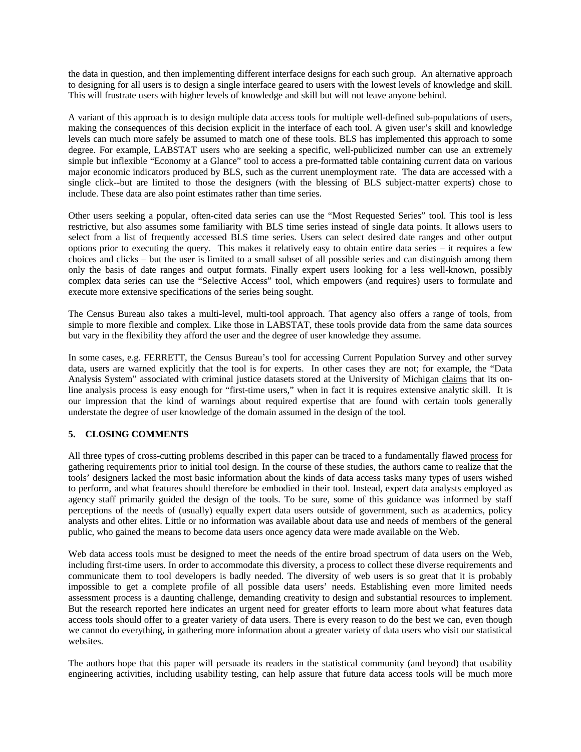the data in question, and then implementing different interface designs for each such group. An alternative approach to designing for all users is to design a single interface geared to users with the lowest levels of knowledge and skill. This will frustrate users with higher levels of knowledge and skill but will not leave anyone behind.

A variant of this approach is to design multiple data access tools for multiple well-defined sub-populations of users, making the consequences of this decision explicit in the interface of each tool. A given user's skill and knowledge levels can much more safely be assumed to match one of these tools. BLS has implemented this approach to some degree. For example, LABSTAT users who are seeking a specific, well-publicized number can use an extremely simple but inflexible "Economy at a Glance" tool to access a pre-formatted table containing current data on various major economic indicators produced by BLS, such as the current unemployment rate. The data are accessed with a single click--but are limited to those the designers (with the blessing of BLS subject-matter experts) chose to include. These data are also point estimates rather than time series.

Other users seeking a popular, often-cited data series can use the "Most Requested Series" tool. This tool is less restrictive, but also assumes some familiarity with BLS time series instead of single data points. It allows users to select from a list of frequently accessed BLS time series. Users can select desired date ranges and other output options prior to executing the query. This makes it relatively easy to obtain entire data series – it requires a few choices and clicks – but the user is limited to a small subset of all possible series and can distinguish among them only the basis of date ranges and output formats. Finally expert users looking for a less well-known, possibly complex data series can use the "Selective Access" tool, which empowers (and requires) users to formulate and execute more extensive specifications of the series being sought.

The Census Bureau also takes a multi-level, multi-tool approach. That agency also offers a range of tools, from simple to more flexible and complex. Like those in LABSTAT, these tools provide data from the same data sources but vary in the flexibility they afford the user and the degree of user knowledge they assume.

In some cases, e.g. FERRETT, the Census Bureau's tool for accessing Current Population Survey and other survey data, users are warned explicitly that the tool is for experts. In other cases they are not; for example, the "Data Analysis System" associated with criminal justice datasets stored at the University of Michigan claims that its online analysis process is easy enough for "first-time users," when in fact it is requires extensive analytic skill. It is our impression that the kind of warnings about required expertise that are found with certain tools generally understate the degree of user knowledge of the domain assumed in the design of the tool.

## **5. CLOSING COMMENTS**

All three types of cross-cutting problems described in this paper can be traced to a fundamentally flawed process for gathering requirements prior to initial tool design. In the course of these studies, the authors came to realize that the tools' designers lacked the most basic information about the kinds of data access tasks many types of users wished to perform, and what features should therefore be embodied in their tool. Instead, expert data analysts employed as agency staff primarily guided the design of the tools. To be sure, some of this guidance was informed by staff perceptions of the needs of (usually) equally expert data users outside of government, such as academics, policy analysts and other elites. Little or no information was available about data use and needs of members of the general public, who gained the means to become data users once agency data were made available on the Web.

Web data access tools must be designed to meet the needs of the entire broad spectrum of data users on the Web, including first-time users. In order to accommodate this diversity, a process to collect these diverse requirements and communicate them to tool developers is badly needed. The diversity of web users is so great that it is probably impossible to get a complete profile of all possible data users' needs. Establishing even more limited needs assessment process is a daunting challenge, demanding creativity to design and substantial resources to implement. But the research reported here indicates an urgent need for greater efforts to learn more about what features data access tools should offer to a greater variety of data users. There is every reason to do the best we can, even though we cannot do everything, in gathering more information about a greater variety of data users who visit our statistical websites.

The authors hope that this paper will persuade its readers in the statistical community (and beyond) that usability engineering activities, including usability testing, can help assure that future data access tools will be much more